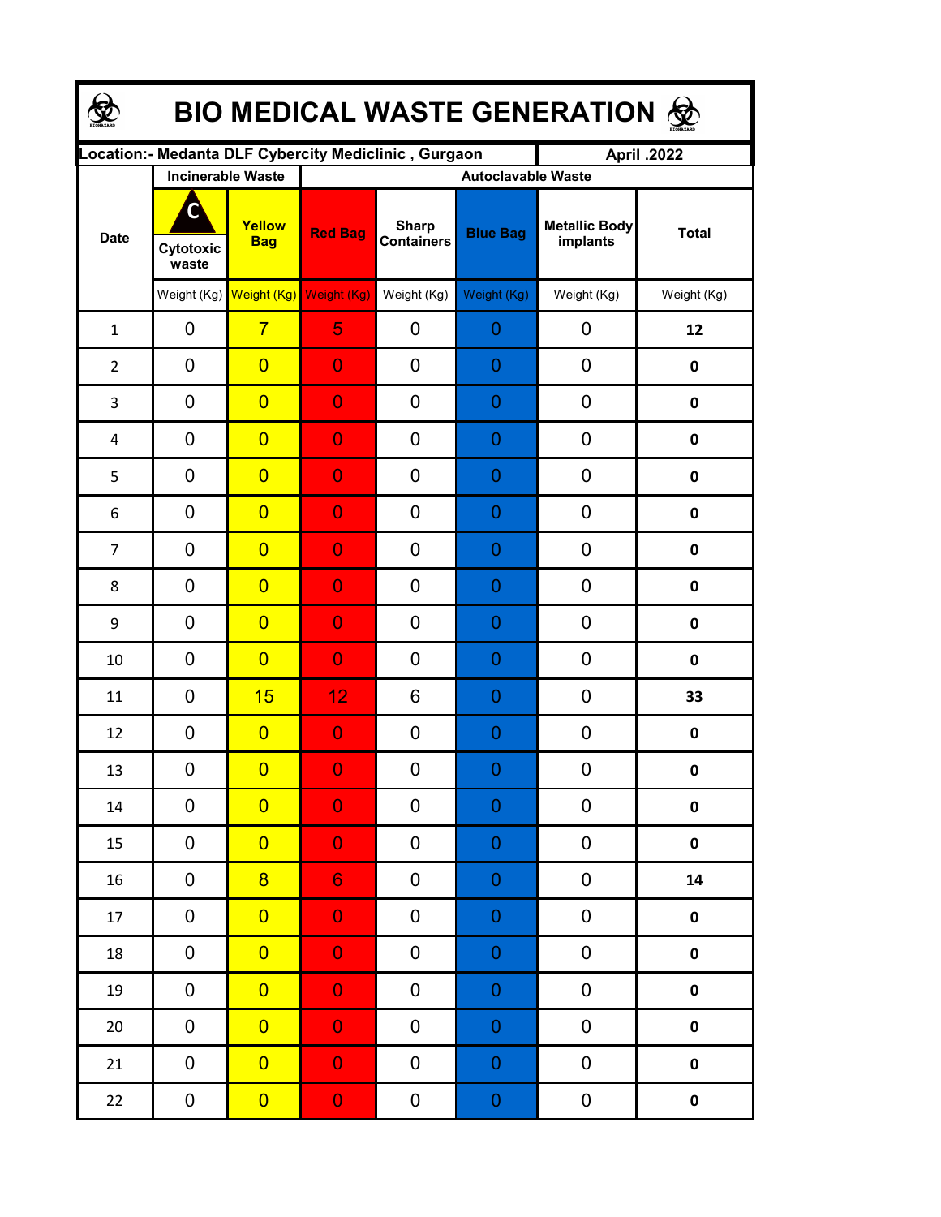| <b>BIO MEDICAL WASTE GENERATION ®</b> |                         |                                     |                                                      |                                   |                  |                           |              |  |  |  |
|---------------------------------------|-------------------------|-------------------------------------|------------------------------------------------------|-----------------------------------|------------------|---------------------------|--------------|--|--|--|
|                                       |                         |                                     | Location:- Medanta DLF Cybercity Mediclinic, Gurgaon |                                   |                  | April .2022               |              |  |  |  |
|                                       |                         | <b>Incinerable Waste</b>            |                                                      | <b>Autoclavable Waste</b>         |                  |                           |              |  |  |  |
| <b>Date</b>                           | C<br>Cytotoxic<br>waste | Yellow<br><b>Bag</b>                | <b>Red Bag</b>                                       | <b>Sharp</b><br><b>Containers</b> | <b>Blue Bag</b>  | Metallic Body<br>implants | <b>Total</b> |  |  |  |
|                                       |                         | Weight (Kg) Weight (Kg) Weight (Kg) |                                                      | Weight (Kg)                       | Weight (Kg)      | Weight (Kg)               | Weight (Kg)  |  |  |  |
| $\mathbf{1}$                          | 0                       | $\overline{7}$                      | 5                                                    | 0                                 | 0                | 0                         | 12           |  |  |  |
| $\overline{2}$                        | 0                       | $\overline{0}$                      | $\overline{0}$                                       | 0                                 | 0                | 0                         | $\mathbf 0$  |  |  |  |
| 3                                     | 0                       | $\overline{0}$                      | $\overline{0}$                                       | 0                                 | $\overline{0}$   | 0                         | $\mathbf 0$  |  |  |  |
| 4                                     | 0                       | $\overline{0}$                      | $\overline{0}$                                       | 0                                 | 0                | 0                         | $\mathbf 0$  |  |  |  |
| 5                                     | $\mathbf 0$             | $\overline{0}$                      | $\overline{0}$                                       | 0                                 | $\overline{0}$   | 0                         | $\mathbf 0$  |  |  |  |
| 6                                     | $\mathbf 0$             | $\overline{0}$                      | $\bf{0}$                                             | 0                                 | $\overline{0}$   | 0                         | $\pmb{0}$    |  |  |  |
| $\overline{7}$                        | 0                       | $\overline{0}$                      | $\bf{0}$                                             | 0                                 | $\overline{0}$   | 0                         | $\pmb{0}$    |  |  |  |
| 8                                     | $\mathbf 0$             | $\overline{0}$                      | $\overline{0}$                                       | 0                                 | $\overline{0}$   | 0                         | $\pmb{0}$    |  |  |  |
| 9                                     | $\mathbf 0$             | $\overline{0}$                      | $\overline{0}$                                       | 0                                 | $\overline{0}$   | 0                         | $\mathbf 0$  |  |  |  |
| 10                                    | $\mathbf 0$             | $\overline{0}$                      | $\overline{0}$                                       | 0                                 | 0                | 0                         | $\mathbf 0$  |  |  |  |
| 11                                    | 0                       | 15                                  | 12                                                   | 6                                 | $\overline{0}$   | 0                         | 33           |  |  |  |
| 12                                    | 0                       | $\overline{0}$                      | $\overline{0}$                                       | 0                                 | $\overline{0}$   | 0                         | $\pmb{0}$    |  |  |  |
| 13                                    | 0                       | $\overline{0}$                      | $\mathbf{0}$                                         | 0                                 | $\Omega$         | 0                         | $\mathbf{0}$ |  |  |  |
| $14\,$                                | 0                       | $\overline{0}$                      | $\overline{0}$                                       | 0                                 | 0                | 0                         | $\pmb{0}$    |  |  |  |
| 15                                    | 0                       | $\overline{0}$                      | $\overline{0}$                                       | 0                                 | $\boldsymbol{0}$ | 0                         | $\pmb{0}$    |  |  |  |
| 16                                    | 0                       | $\overline{8}$                      | $6 \overline{6}$                                     | 0                                 | $\mathbf 0$      | 0                         | ${\bf 14}$   |  |  |  |
| 17                                    | $\pmb{0}$               | $\overline{0}$                      | $\overline{0}$                                       | 0                                 | $\mathbf 0$      | 0                         | $\pmb{0}$    |  |  |  |
| 18                                    | 0                       | $\overline{0}$                      | $\mathbf{0}$                                         | 0                                 | $\mathbf 0$      | 0                         | $\pmb{0}$    |  |  |  |
| 19                                    | 0                       | $\overline{0}$                      | $\bf 0$                                              | 0                                 | $\mathbf 0$      | 0                         | $\pmb{0}$    |  |  |  |
| 20                                    | 0                       | $\overline{0}$                      | $\overline{0}$                                       | 0                                 | $\mathbf 0$      | 0                         | $\pmb{0}$    |  |  |  |
| 21                                    | $\pmb{0}$               | $\overline{0}$                      | $\overline{0}$                                       | 0                                 | $\mathbf 0$      | 0                         | $\pmb{0}$    |  |  |  |
| 22                                    | 0                       | $\overline{0}$                      | $\mathbf{0}$                                         | 0                                 | $\pmb{0}$        | 0                         | $\pmb{0}$    |  |  |  |